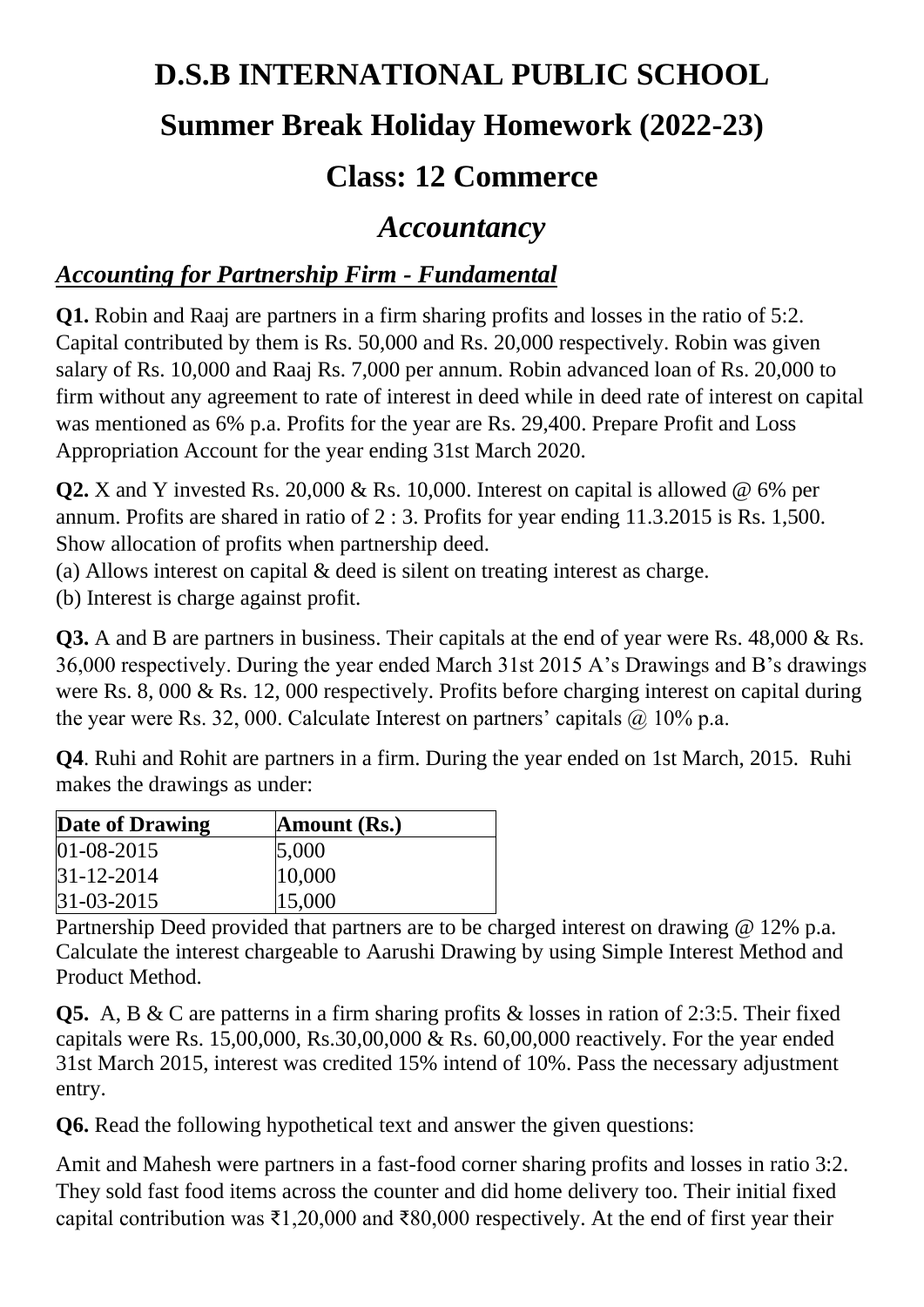# **D.S.B INTERNATIONAL PUBLIC SCHOOL**

# **Summer Break Holiday Homework (2022-23)**

# **Class: 12 Commerce**

## *Accountancy*

#### *Accounting for Partnership Firm - Fundamental*

**Q1.** Robin and Raaj are partners in a firm sharing profits and losses in the ratio of 5:2. Capital contributed by them is Rs. 50,000 and Rs. 20,000 respectively. Robin was given salary of Rs. 10,000 and Raaj Rs. 7,000 per annum. Robin advanced loan of Rs. 20,000 to firm without any agreement to rate of interest in deed while in deed rate of interest on capital was mentioned as 6% p.a. Profits for the year are Rs. 29,400. Prepare Profit and Loss Appropriation Account for the year ending 31st March 2020.

**Q2.** X and Y invested Rs. 20,000 & Rs. 10,000. Interest on capital is allowed @ 6% per annum. Profits are shared in ratio of 2 : 3. Profits for year ending 11.3.2015 is Rs. 1,500. Show allocation of profits when partnership deed.

(a) Allows interest on capital & deed is silent on treating interest as charge.

(b) Interest is charge against profit.

**Q3.** A and B are partners in business. Their capitals at the end of year were Rs. 48,000 & Rs. 36,000 respectively. During the year ended March 31st 2015 A's Drawings and B's drawings were Rs. 8, 000 & Rs. 12, 000 respectively. Profits before charging interest on capital during the year were Rs. 32, 000. Calculate Interest on partners' capitals  $\omega$  10% p.a.

**Q4**. Ruhi and Rohit are partners in a firm. During the year ended on 1st March, 2015. Ruhi makes the drawings as under:

| Date of Drawing  | Amount (Rs.) |  |
|------------------|--------------|--|
| $01 - 08 - 2015$ | 5,000        |  |
| $ 31-12-2014 $   | 10,000       |  |
| $31 - 03 - 2015$ | 15,000       |  |

Partnership Deed provided that partners are to be charged interest on drawing @ 12% p.a. Calculate the interest chargeable to Aarushi Drawing by using Simple Interest Method and Product Method.

**Q5.** A, B & C are patterns in a firm sharing profits & losses in ration of 2:3:5. Their fixed capitals were Rs.  $15,00,000$ , Rs. $30,00,000$  & Rs.  $60,00,000$  reactively. For the year ended 31st March 2015, interest was credited 15% intend of 10%. Pass the necessary adjustment entry.

**Q6.** Read the following hypothetical text and answer the given questions:

Amit and Mahesh were partners in a fast-food corner sharing profits and losses in ratio 3:2. They sold fast food items across the counter and did home delivery too. Their initial fixed capital contribution was ₹1,20,000 and ₹80,000 respectively. At the end of first year their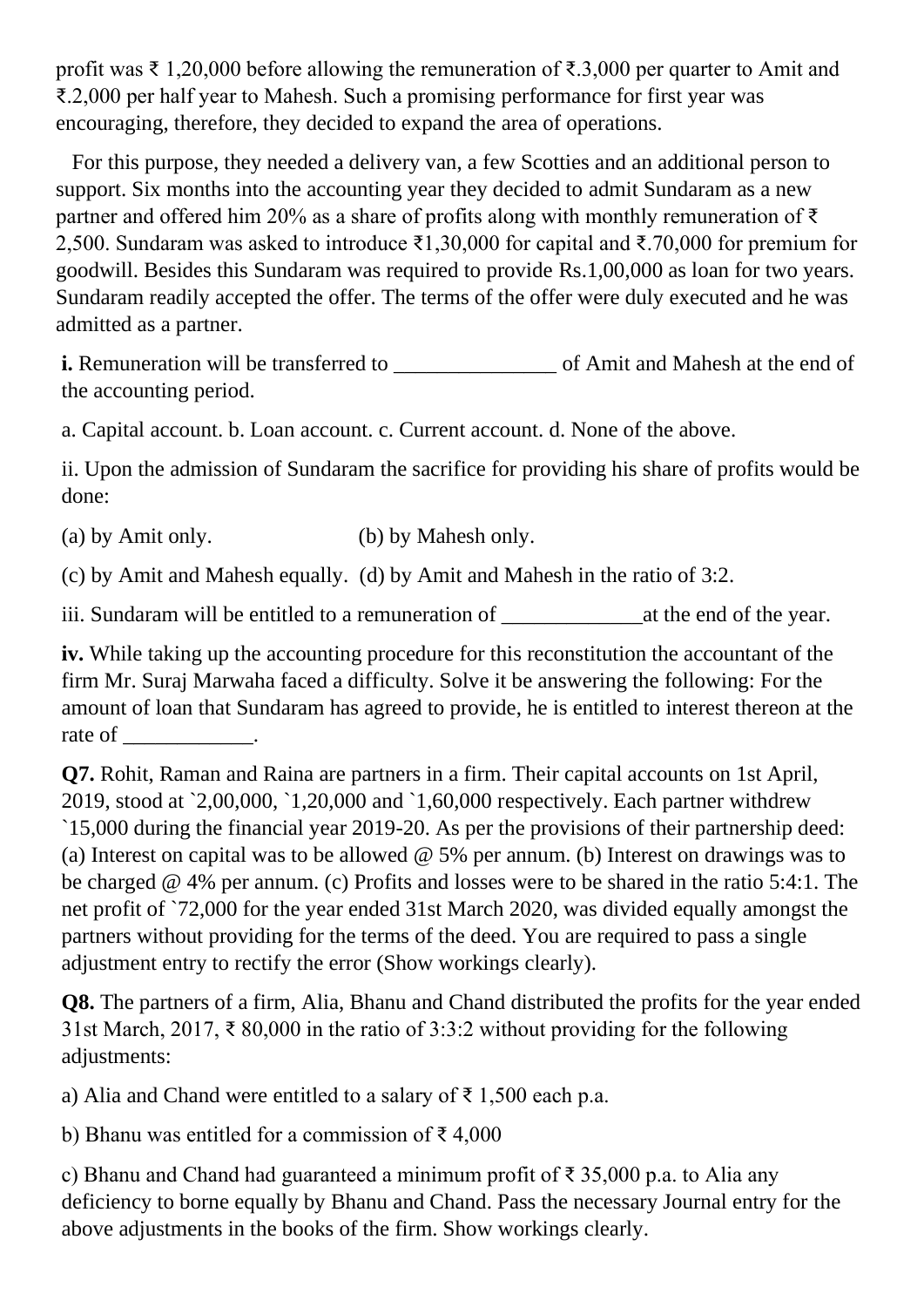profit was ₹ 1,20,000 before allowing the remuneration of ₹.3,000 per quarter to Amit and ₹.2,000 per half year to Mahesh. Such a promising performance for first year was encouraging, therefore, they decided to expand the area of operations.

 For this purpose, they needed a delivery van, a few Scotties and an additional person to support. Six months into the accounting year they decided to admit Sundaram as a new partner and offered him 20% as a share of profits along with monthly remuneration of  $\bar{\tau}$ 2,500. Sundaram was asked to introduce ₹1,30,000 for capital and ₹.70,000 for premium for goodwill. Besides this Sundaram was required to provide Rs.1,00,000 as loan for two years. Sundaram readily accepted the offer. The terms of the offer were duly executed and he was admitted as a partner.

**i.** Remuneration will be transferred to \_\_\_\_\_\_\_\_\_\_\_\_\_\_\_ of Amit and Mahesh at the end of the accounting period.

a. Capital account. b. Loan account. c. Current account. d. None of the above.

ii. Upon the admission of Sundaram the sacrifice for providing his share of profits would be done:

(a) by Amit only. (b) by Mahesh only.

(c) by Amit and Mahesh equally. (d) by Amit and Mahesh in the ratio of 3:2.

iii. Sundaram will be entitled to a remuneration of **which is a remuneration** of  $\alpha$  at the end of the year.

**iv.** While taking up the accounting procedure for this reconstitution the accountant of the firm Mr. Suraj Marwaha faced a difficulty. Solve it be answering the following: For the amount of loan that Sundaram has agreed to provide, he is entitled to interest thereon at the rate of \_\_\_\_\_\_\_\_\_\_\_.

**Q7.** Rohit, Raman and Raina are partners in a firm. Their capital accounts on 1st April, 2019, stood at `2,00,000, `1,20,000 and `1,60,000 respectively. Each partner withdrew `15,000 during the financial year 2019-20. As per the provisions of their partnership deed: (a) Interest on capital was to be allowed @ 5% per annum. (b) Interest on drawings was to be charged @ 4% per annum. (c) Profits and losses were to be shared in the ratio 5:4:1. The net profit of `72,000 for the year ended 31st March 2020, was divided equally amongst the partners without providing for the terms of the deed. You are required to pass a single adjustment entry to rectify the error (Show workings clearly).

**Q8.** The partners of a firm, Alia, Bhanu and Chand distributed the profits for the year ended 31st March, 2017, ₹ 80,000 in the ratio of 3:3:2 without providing for the following adjustments:

a) Alia and Chand were entitled to a salary of  $\bar{\tau}$  1,500 each p.a.

b) Bhanu was entitled for a commission of ₹ 4,000

c) Bhanu and Chand had guaranteed a minimum profit of ₹ 35,000 p.a. to Alia any deficiency to borne equally by Bhanu and Chand. Pass the necessary Journal entry for the above adjustments in the books of the firm. Show workings clearly.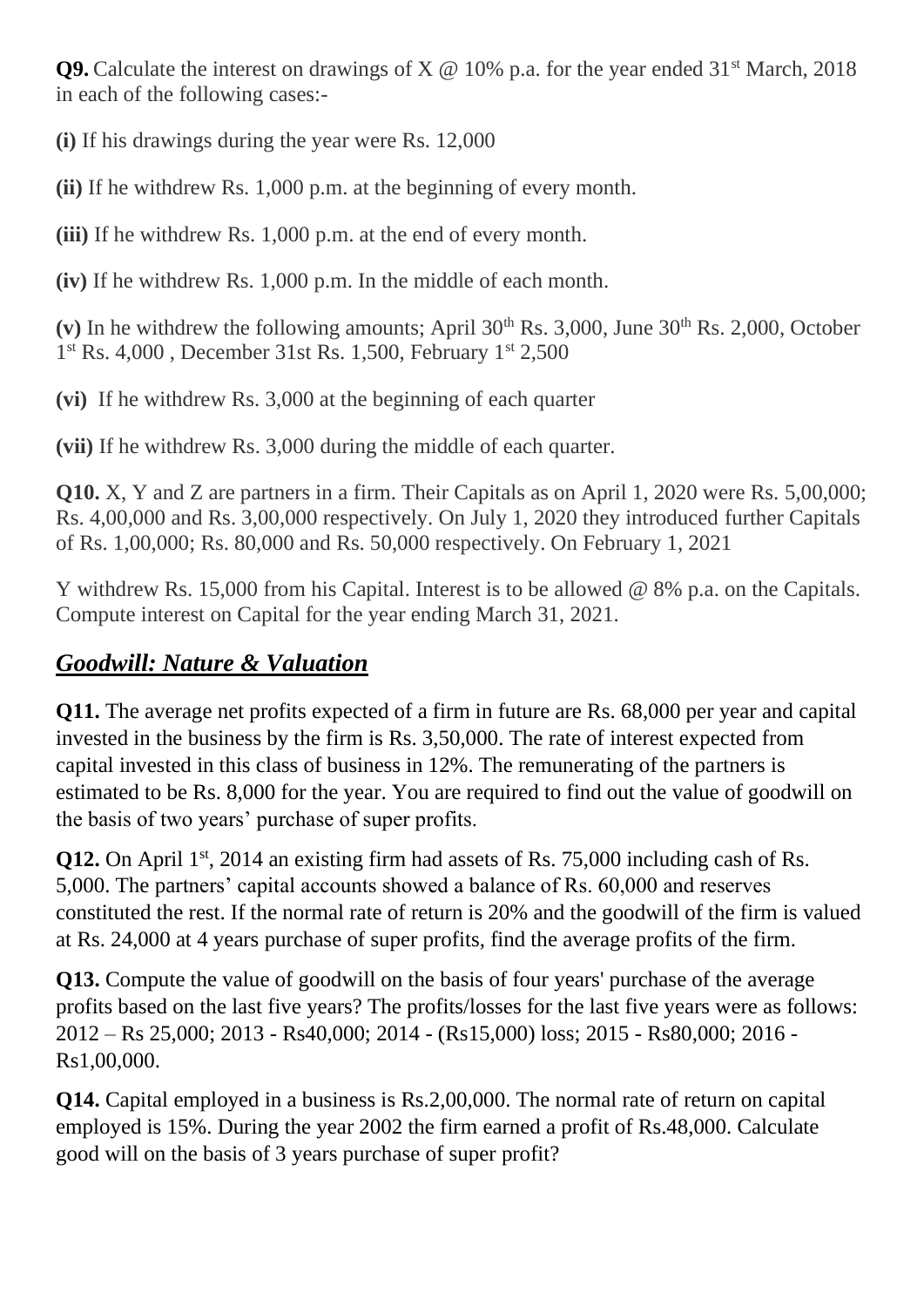**Q9.** Calculate the interest on drawings of  $X \& 10\%$  p.a. for the year ended 31<sup>st</sup> March, 2018 in each of the following cases:-

**(i)** If his drawings during the year were Rs. 12,000

**(ii)** If he withdrew Rs. 1,000 p.m. at the beginning of every month.

**(iii)** If he withdrew Rs. 1,000 p.m. at the end of every month.

**(iv)** If he withdrew Rs. 1,000 p.m. In the middle of each month.

(v) In he withdrew the following amounts; April  $30<sup>th</sup>$  Rs.  $3,000$ , June  $30<sup>th</sup>$  Rs.  $2,000$ , October 1 st Rs. 4,000 , December 31st Rs. 1,500, February 1st 2,500

**(vi)** If he withdrew Rs. 3,000 at the beginning of each quarter

**(vii)** If he withdrew Rs. 3,000 during the middle of each quarter.

**Q10.** X, Y and Z are partners in a firm. Their Capitals as on April 1, 2020 were Rs. 5,00,000; Rs. 4,00,000 and Rs. 3,00,000 respectively. On July 1, 2020 they introduced further Capitals of Rs. 1,00,000; Rs. 80,000 and Rs. 50,000 respectively. On February 1, 2021

Y withdrew Rs. 15,000 from his Capital. Interest is to be allowed @ 8% p.a. on the Capitals. Compute interest on Capital for the year ending March 31, 2021.

#### *Goodwill: Nature & Valuation*

**Q11.** The average net profits expected of a firm in future are Rs. 68,000 per year and capital invested in the business by the firm is Rs. 3,50,000. The rate of interest expected from capital invested in this class of business in 12%. The remunerating of the partners is estimated to be Rs. 8,000 for the year. You are required to find out the value of goodwill on the basis of two years' purchase of super profits.

**Q12.** On April 1<sup>st</sup>, 2014 an existing firm had assets of Rs. 75,000 including cash of Rs. 5,000. The partners' capital accounts showed a balance of Rs. 60,000 and reserves constituted the rest. If the normal rate of return is 20% and the goodwill of the firm is valued at Rs. 24,000 at 4 years purchase of super profits, find the average profits of the firm.

**Q13.** Compute the value of goodwill on the basis of four years' purchase of the average profits based on the last five years? The profits/losses for the last five years were as follows: 2012 – Rs 25,000; 2013 - Rs40,000; 2014 - (Rs15,000) loss; 2015 - Rs80,000; 2016 - Rs1,00,000.

**Q14.** Capital employed in a business is Rs.2,00,000. The normal rate of return on capital employed is 15%. During the year 2002 the firm earned a profit of Rs.48,000. Calculate good will on the basis of 3 years purchase of super profit?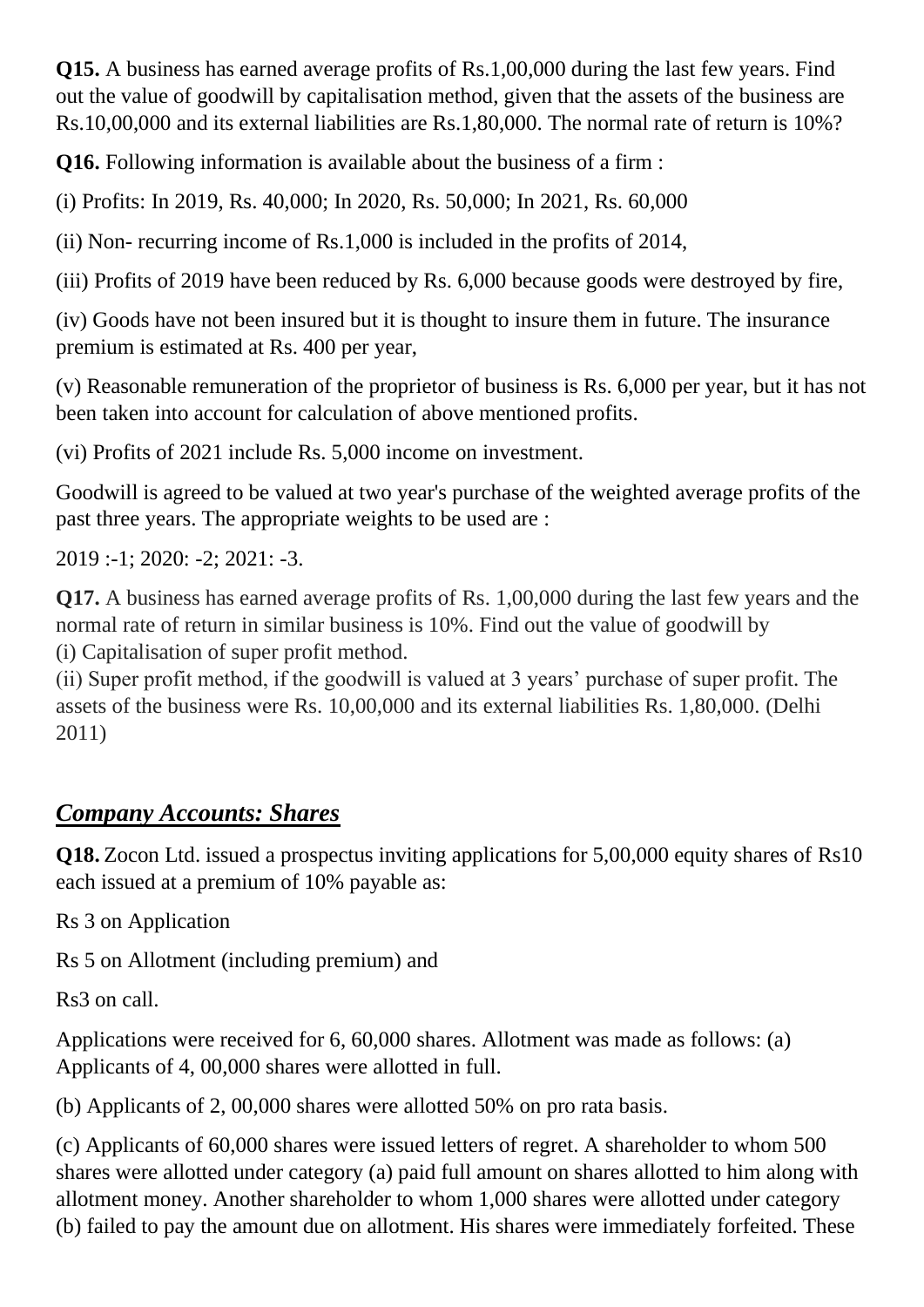**Q15.** A business has earned average profits of Rs.1,00,000 during the last few years. Find out the value of goodwill by capitalisation method, given that the assets of the business are Rs.10,00,000 and its external liabilities are Rs.1,80,000. The normal rate of return is 10%?

**Q16.** Following information is available about the business of a firm :

(i) Profits: In 2019, Rs. 40,000; In 2020, Rs. 50,000; In 2021, Rs. 60,000

(ii) Non- recurring income of Rs.1,000 is included in the profits of 2014,

(iii) Profits of 2019 have been reduced by Rs. 6,000 because goods were destroyed by fire,

(iv) Goods have not been insured but it is thought to insure them in future. The insurance premium is estimated at Rs. 400 per year,

(v) Reasonable remuneration of the proprietor of business is Rs. 6,000 per year, but it has not been taken into account for calculation of above mentioned profits.

(vi) Profits of 2021 include Rs. 5,000 income on investment.

Goodwill is agreed to be valued at two year's purchase of the weighted average profits of the past three years. The appropriate weights to be used are :

2019 :-1; 2020: -2; 2021: -3.

**Q17.** A business has earned average profits of Rs. 1,00,000 during the last few years and the normal rate of return in similar business is 10%. Find out the value of goodwill by (i) Capitalisation of super profit method.

(ii) Super profit method, if the goodwill is valued at 3 years' purchase of super profit. The assets of the business were Rs. 10,00,000 and its external liabilities Rs. 1,80,000. (Delhi 2011)

#### *Company Accounts: Shares*

**Q18.** Zocon Ltd. issued a prospectus inviting applications for 5,00,000 equity shares of Rs10 each issued at a premium of 10% payable as:

Rs 3 on Application

Rs 5 on Allotment (including premium) and

Rs3 on call.

Applications were received for 6, 60,000 shares. Allotment was made as follows: (a) Applicants of 4, 00,000 shares were allotted in full.

(b) Applicants of 2, 00,000 shares were allotted 50% on pro rata basis.

(c) Applicants of 60,000 shares were issued letters of regret. A shareholder to whom 500 shares were allotted under category (a) paid full amount on shares allotted to him along with allotment money. Another shareholder to whom 1,000 shares were allotted under category (b) failed to pay the amount due on allotment. His shares were immediately forfeited. These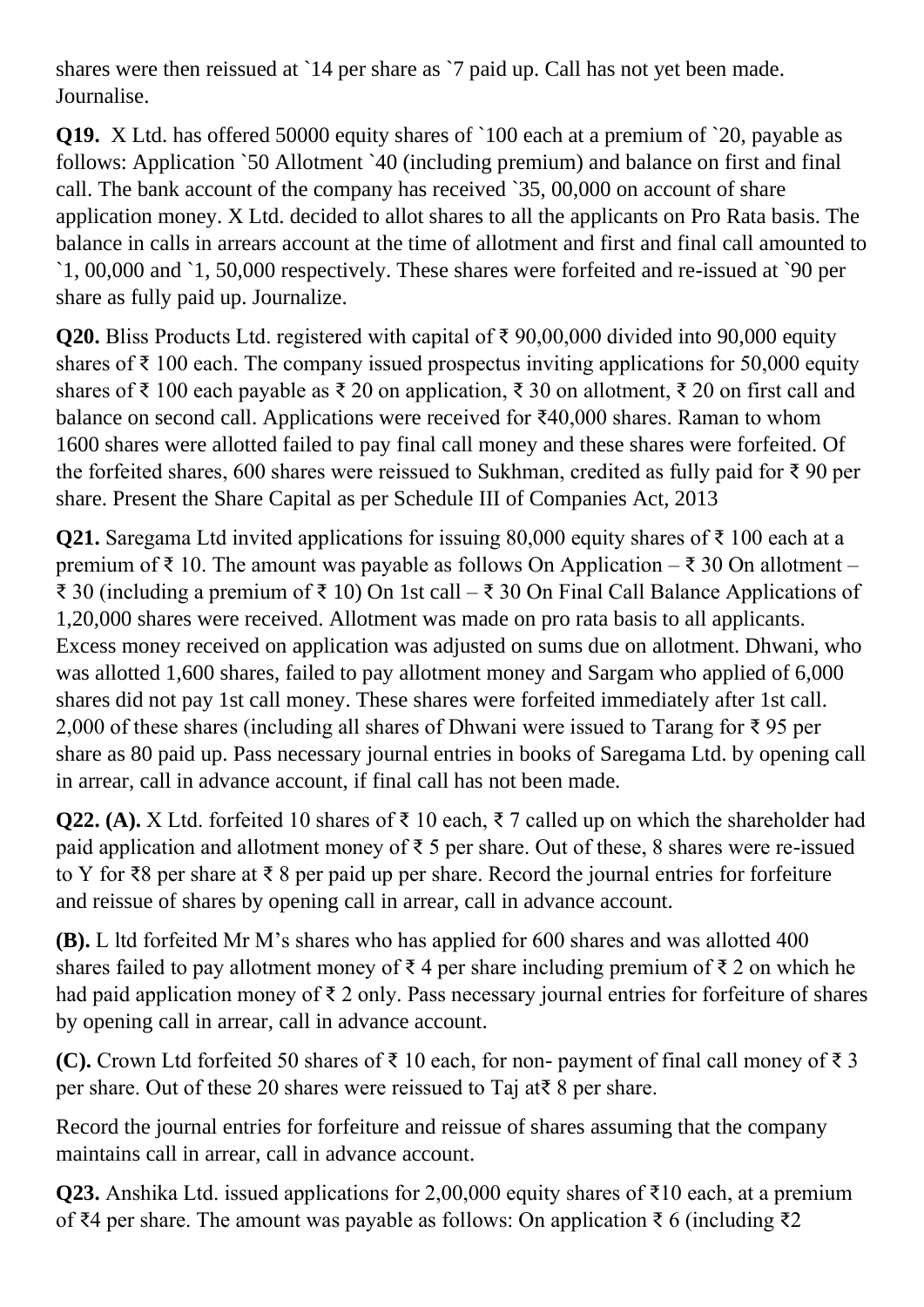shares were then reissued at `14 per share as `7 paid up. Call has not yet been made. Journalise.

**Q19.** X Ltd. has offered 50000 equity shares of `100 each at a premium of `20, payable as follows: Application `50 Allotment `40 (including premium) and balance on first and final call. The bank account of the company has received `35, 00,000 on account of share application money. X Ltd. decided to allot shares to all the applicants on Pro Rata basis. The balance in calls in arrears account at the time of allotment and first and final call amounted to `1, 00,000 and `1, 50,000 respectively. These shares were forfeited and re-issued at `90 per share as fully paid up. Journalize.

**Q20.** Bliss Products Ltd. registered with capital of ₹ 90,00,000 divided into 90,000 equity shares of  $\bar{\tau}$  100 each. The company issued prospectus inviting applications for 50,000 equity shares of ₹ 100 each payable as ₹ 20 on application, ₹ 30 on allotment, ₹ 20 on first call and balance on second call. Applications were received for ₹40,000 shares. Raman to whom 1600 shares were allotted failed to pay final call money and these shares were forfeited. Of the forfeited shares, 600 shares were reissued to Sukhman, credited as fully paid for ₹ 90 per share. Present the Share Capital as per Schedule III of Companies Act, 2013

**Q21.** Saregama Ltd invited applications for issuing 80,000 equity shares of ₹ 100 each at a premium of ₹ 10. The amount was payable as follows On Application – ₹ 30 On allotment – ₹ 30 (including a premium of ₹ 10) On 1st call – ₹ 30 On Final Call Balance Applications of 1,20,000 shares were received. Allotment was made on pro rata basis to all applicants. Excess money received on application was adjusted on sums due on allotment. Dhwani, who was allotted 1,600 shares, failed to pay allotment money and Sargam who applied of 6,000 shares did not pay 1st call money. These shares were forfeited immediately after 1st call. 2,000 of these shares (including all shares of Dhwani were issued to Tarang for ₹ 95 per share as 80 paid up. Pass necessary journal entries in books of Saregama Ltd. by opening call in arrear, call in advance account, if final call has not been made.

**Q22. (A).** X Ltd. forfeited 10 shares of ₹ 10 each, ₹ 7 called up on which the shareholder had paid application and allotment money of ₹ 5 per share. Out of these, 8 shares were re-issued to Y for ₹8 per share at ₹ 8 per paid up per share. Record the journal entries for forfeiture and reissue of shares by opening call in arrear, call in advance account.

**(B).** L ltd forfeited Mr M's shares who has applied for 600 shares and was allotted 400 shares failed to pay allotment money of  $\bar{\tau}$  4 per share including premium of  $\bar{\tau}$  2 on which he had paid application money of ₹ 2 only. Pass necessary journal entries for forfeiture of shares by opening call in arrear, call in advance account.

**(C).** Crown Ltd forfeited 50 shares of ₹ 10 each, for non- payment of final call money of ₹ 3 per share. Out of these 20 shares were reissued to Taj at₹ 8 per share.

Record the journal entries for forfeiture and reissue of shares assuming that the company maintains call in arrear, call in advance account.

**Q23.** Anshika Ltd. issued applications for 2,00,000 equity shares of ₹10 each, at a premium of ₹4 per share. The amount was payable as follows: On application ₹ 6 (including ₹2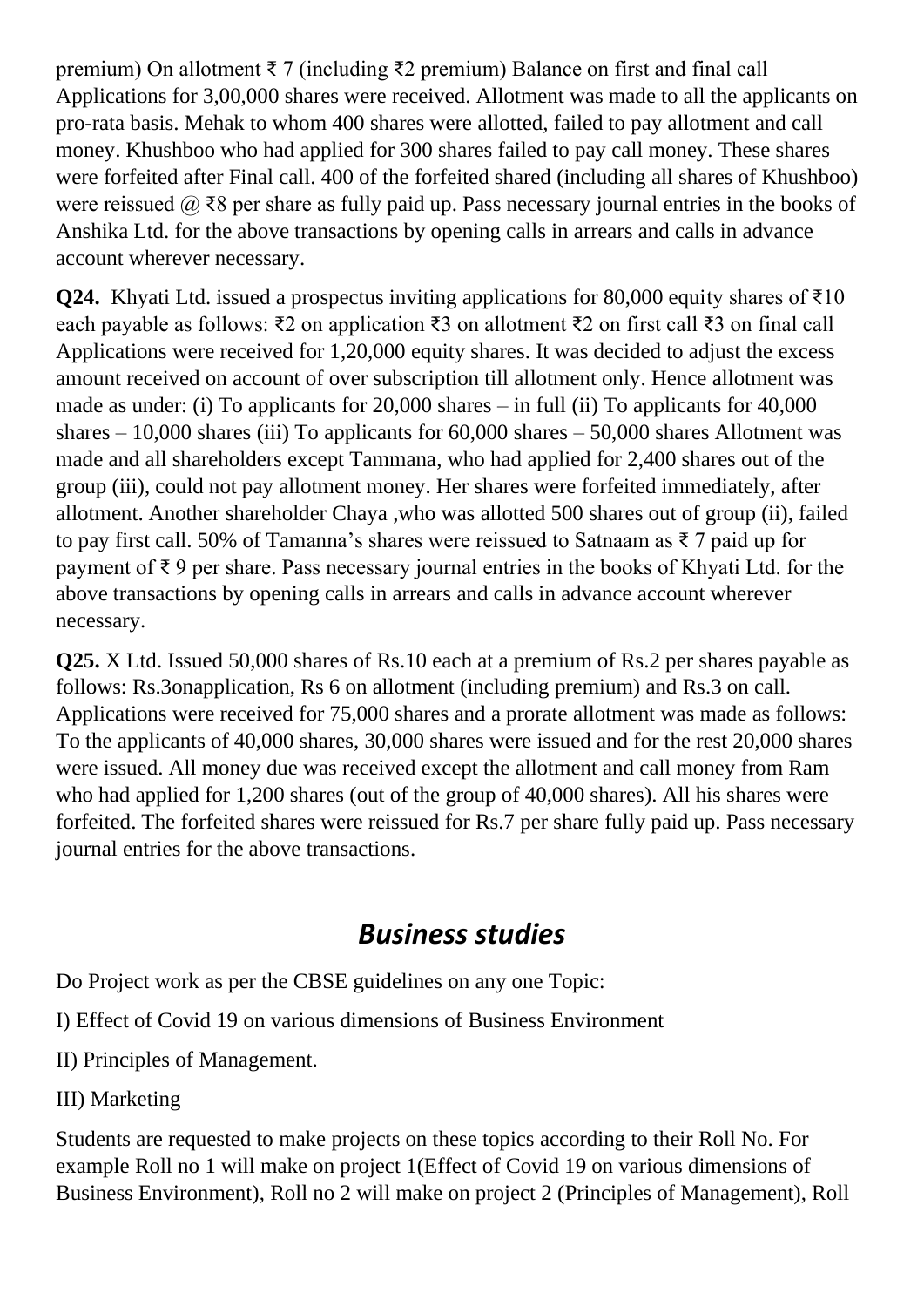premium) On allotment ₹ 7 (including ₹2 premium) Balance on first and final call Applications for 3,00,000 shares were received. Allotment was made to all the applicants on pro-rata basis. Mehak to whom 400 shares were allotted, failed to pay allotment and call money. Khushboo who had applied for 300 shares failed to pay call money. These shares were forfeited after Final call. 400 of the forfeited shared (including all shares of Khushboo) were reissued  $\omega \gtrsim 8$  per share as fully paid up. Pass necessary journal entries in the books of Anshika Ltd. for the above transactions by opening calls in arrears and calls in advance account wherever necessary.

**Q24.** Khyati Ltd. issued a prospectus inviting applications for 80,000 equity shares of ₹10 each payable as follows: ₹2 on application ₹3 on allotment ₹2 on first call ₹3 on final call Applications were received for 1,20,000 equity shares. It was decided to adjust the excess amount received on account of over subscription till allotment only. Hence allotment was made as under: (i) To applicants for 20,000 shares – in full (ii) To applicants for 40,000 shares  $-10,000$  shares (iii) To applicants for  $60,000$  shares  $-50,000$  shares Allotment was made and all shareholders except Tammana, who had applied for 2,400 shares out of the group (iii), could not pay allotment money. Her shares were forfeited immediately, after allotment. Another shareholder Chaya ,who was allotted 500 shares out of group (ii), failed to pay first call. 50% of Tamanna's shares were reissued to Satnaam as  $\bar{\tau}$  7 paid up for payment of ₹ 9 per share. Pass necessary journal entries in the books of Khyati Ltd. for the above transactions by opening calls in arrears and calls in advance account wherever necessary.

**Q25.** X Ltd. Issued 50,000 shares of Rs.10 each at a premium of Rs.2 per shares payable as follows: Rs.3onapplication, Rs 6 on allotment (including premium) and Rs.3 on call. Applications were received for 75,000 shares and a prorate allotment was made as follows: To the applicants of 40,000 shares, 30,000 shares were issued and for the rest 20,000 shares were issued. All money due was received except the allotment and call money from Ram who had applied for 1,200 shares (out of the group of 40,000 shares). All his shares were forfeited. The forfeited shares were reissued for Rs.7 per share fully paid up. Pass necessary journal entries for the above transactions.

## *Business studies*

Do Project work as per the CBSE guidelines on any one Topic:

I) Effect of Covid 19 on various dimensions of Business Environment

II) Principles of Management.

III) Marketing

Students are requested to make projects on these topics according to their Roll No. For example Roll no 1 will make on project 1(Effect of Covid 19 on various dimensions of Business Environment), Roll no 2 will make on project 2 (Principles of Management), Roll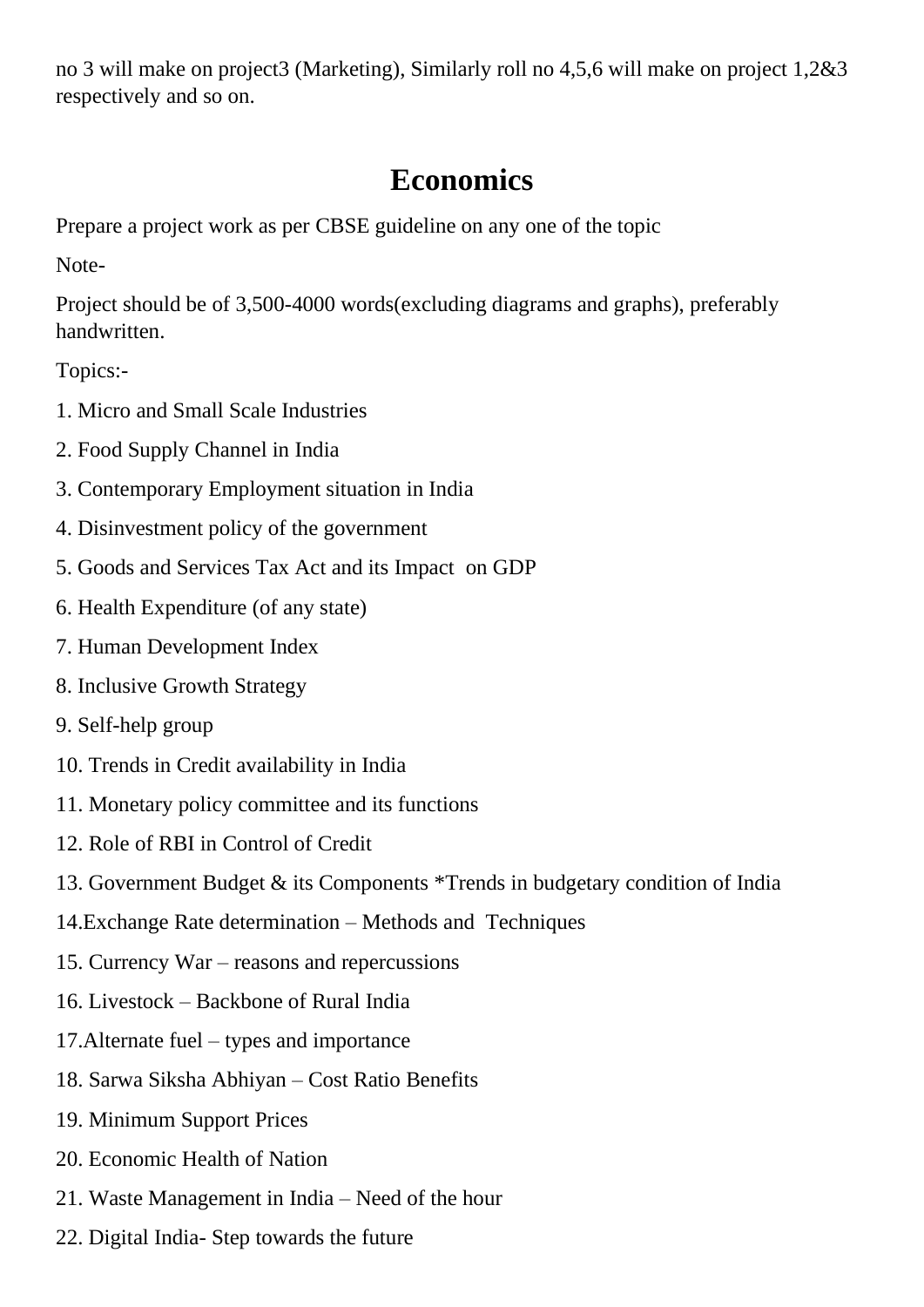no 3 will make on project3 (Marketing), Similarly roll no 4,5,6 will make on project 1,2&3 respectively and so on.

## **Economics**

Prepare a project work as per CBSE guideline on any one of the topic

Note-

Project should be of 3,500-4000 words(excluding diagrams and graphs), preferably handwritten.

Topics:-

- 1. Micro and Small Scale Industries
- 2. Food Supply Channel in India
- 3. Contemporary Employment situation in India
- 4. Disinvestment policy of the government
- 5. Goods and Services Tax Act and its Impact on GDP
- 6. Health Expenditure (of any state)
- 7. Human Development Index
- 8. Inclusive Growth Strategy
- 9. Self-help group
- 10. Trends in Credit availability in India
- 11. Monetary policy committee and its functions
- 12. Role of RBI in Control of Credit
- 13. Government Budget & its Components \*Trends in budgetary condition of India
- 14.Exchange Rate determination Methods and Techniques
- 15. Currency War reasons and repercussions
- 16. Livestock Backbone of Rural India
- 17.Alternate fuel types and importance
- 18. Sarwa Siksha Abhiyan Cost Ratio Benefits
- 19. Minimum Support Prices
- 20. Economic Health of Nation
- 21. Waste Management in India Need of the hour
- 22. Digital India- Step towards the future